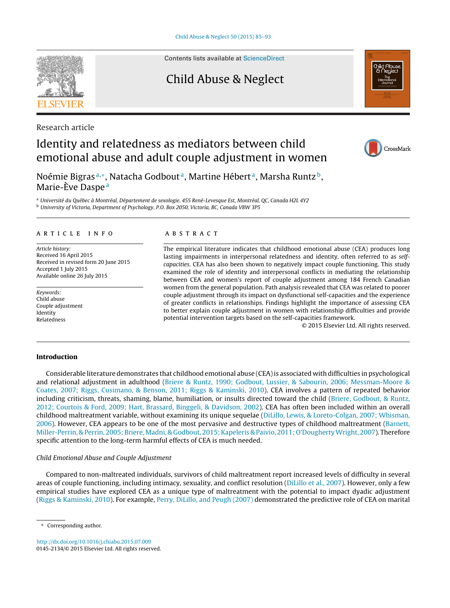Contents lists available at [ScienceDirect](http://www.sciencedirect.com/science/journal/01452134)

Child Abuse & Neglect

Research article

# Identity and relatedness as mediators between child emotional abuse and adult couple adjustment in women

Noémie Bigras<sup>a,∗</sup>, Natacha Godbout<sup>a</sup>, Martine Hébert<sup>a</sup>, Marsha Runtz<sup>b</sup>, Marie-Ève Daspe<sup>a</sup>

<sup>a</sup> Université du Québec à Montréal, Département de sexologie, 455 René-Levesque Est, Montréal, QC, Canada H2L 4Y2 <sup>b</sup> University of Victoria, Department of Psychology, P.O. Box 2050, Victoria, BC, Canada V8W 3P5

# a r t i c l e i n f o

Article history: Received 16 April 2015 Received in revised form 20 June 2015 Accepted 1 July 2015 Available online 26 July 2015

Keywords: Child abuse Couple adjustment Identity Relatedness

# a b s t r a c t

The empirical literature indicates that childhood emotional abuse (CEA) produces long lasting impairments in interpersonal relatedness and identity, often referred to as selfcapacities. CEA has also been shown to negatively impact couple functioning. This study examined the role of identity and interpersonal conflicts in mediating the relationship between CEA and women's report of couple adjustment among 184 French Canadian women from the general population. Path analysis revealed that CEA was related to poorer couple adjustment through its impact on dysfunctional self-capacities and the experience of greater conflicts in relationships. Findings highlight the importance of assessing CEA to better explain couple adjustment in women with relationship difficulties and provide potential intervention targets based on the self-capacities framework.

© 2015 Elsevier Ltd. All rights reserved.

# **Introduction**

Considerable literature demonstrates that childhood emotional abuse (CEA)is associated with difficulties in psychological and relational adjustment in adulthood [\(Briere](#page-7-0) [&](#page-7-0) [Runtz,](#page-7-0) [1990;](#page-7-0) [Godbout,](#page-7-0) [Lussier,](#page-7-0) [&](#page-7-0) [Sabourin,](#page-7-0) [2006;](#page-7-0) [Messman-Moore](#page-7-0) [&](#page-7-0) [Coates,](#page-7-0) [2007;](#page-7-0) [Riggs,](#page-7-0) [Cusimano,](#page-7-0) [&](#page-7-0) [Benson,](#page-7-0) [2011;](#page-7-0) [Riggs](#page-7-0) [&](#page-7-0) [Kaminski,](#page-7-0) [2010\).](#page-7-0) CEA involves a pattern of repeated behavior including criticism, threats, shaming, blame, humiliation, or insults directed toward the child ([Briere,](#page-7-0) [Godbout,](#page-7-0) [&](#page-7-0) [Runtz,](#page-7-0) [2012;](#page-7-0) [Courtois](#page-7-0) [&](#page-7-0) [Ford,](#page-7-0) [2009;](#page-7-0) [Hart,](#page-7-0) [Brassard,](#page-7-0) [Binggeli,](#page-7-0) [&](#page-7-0) [Davidson,](#page-7-0) [2002\).](#page-7-0) CEA has often been included within an overall childhood maltreatment variable, without examining its unique sequelae [\(DiLillo,](#page-7-0) [Lewis,](#page-7-0) [&](#page-7-0) [Loreto-Colgan,](#page-7-0) [2007;](#page-7-0) [Whisman,](#page-7-0) [2006\).](#page-7-0) However, CEA appears to be one of the most pervasive and destructive types of childhood maltreatment ([Barnett,](#page-7-0) [Miller-Perrin,](#page-7-0) [&](#page-7-0) [Perrin,](#page-7-0) [2005;](#page-7-0) Briere, Madni, & [Godbout,](#page-7-0) 2015; Kapeleris & [Paivio,](#page-7-0) [2011;](#page-7-0) O'Dougherty Wright, [2007\).](#page-7-0) Therefore specific attention to the long-term harmful effects of CEA is much needed.

# Child Emotional Abuse and Couple Adjustment

Compared to non-maltreated individuals, survivors of child maltreatment report increased levels of difficulty in several areas of couple functioning, including intimacy, sexuality, and conflict resolution ([DiLillo](#page-7-0) et [al.,](#page-7-0) [2007\).](#page-7-0) However, only a few empirical studies have explored CEA as a unique type of maltreatment with the potential to impact dyadic adjustment [\(Riggs](#page-8-0) [&](#page-8-0) [Kaminski,](#page-8-0) [2010\).](#page-8-0) For example, [Perry,](#page-8-0) [DiLillo,](#page-8-0) [and](#page-8-0) [Peugh](#page-8-0) [\(2007\)](#page-8-0) demonstrated the predictive role of CEA on marital

[http://dx.doi.org/10.1016/j.chiabu.2015.07.009](dx.doi.org/10.1016/j.chiabu.2015.07.009) 0145-2134/© 2015 Elsevier Ltd. All rights reserved.







Corresponding author.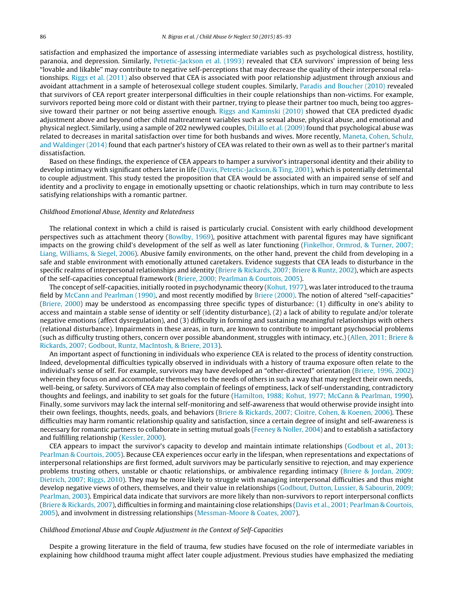satisfaction and emphasized the importance of assessing intermediate variables such as psychological distress, hostility, paranoia, and depression. Similarly, [Petretic-Jackson](#page-8-0) et [al.](#page-8-0) [\(1993\)](#page-8-0) revealed that CEA survivors' impression of being less "lovable and likable" may contribute to negative self-perceptions that may decrease the quality of their interpersonal relationships. [Riggs](#page-8-0) et [al.](#page-8-0) [\(2011\)](#page-8-0) also observed that CEA is associated with poor relationship adjustment through anxious and avoidant attachment in a sample of heterosexual college student couples. Similarly, [Paradis](#page-8-0) [and](#page-8-0) [Boucher](#page-8-0) [\(2010\)](#page-8-0) revealed that survivors of CEA report greater interpersonal difficulties in their couple relationships than non-victims. For example, survivors reported being more cold or distant with their partner, trying to please their partner too much, being too aggres-sive toward their partner or not being assertive enough. [Riggs](#page-8-0) [and](#page-8-0) [Kaminski](#page-8-0) [\(2010\)](#page-8-0) showed that CEA predicted dyadic adjustment above and beyond other child maltreatment variables such as sexual abuse, physical abuse, and emotional and physical neglect. Similarly, using a sample of 202 newlywed couples, [DiLillo](#page-7-0) et [al.](#page-7-0) [\(2009\)](#page-7-0) found that psychological abuse was related to decreases in marital satisfaction over time for both husbands and wives. More recently, [Maneta,](#page-8-0) [Cohen,](#page-8-0) [Schulz,](#page-8-0) [and](#page-8-0) [Waldinger](#page-8-0) [\(2014\)](#page-8-0) found that each partner's history of CEA was related to their own as well as to their partner's marital dissatisfaction.

Based on these findings, the experience of CEA appears to hamper a survivor's intrapersonal identity and their ability to develop intimacy with significant others later in life ([Davis,](#page-7-0) [Petretic-Jackson,](#page-7-0) [&](#page-7-0) [Ting,](#page-7-0) [2001\),](#page-7-0) which is potentially detrimental to couple adjustment. This study tested the proposition that CEA would be associated with an impaired sense of self and identity and a proclivity to engage in emotionally upsetting or chaotic relationships, which in turn may contribute to less satisfying relationships with a romantic partner.

#### Childhood Emotional Abuse, Identity and Relatedness

The relational context in which a child is raised is particularly crucial. Consistent with early childhood development perspectives such as attachment theory ([Bowlby,](#page-7-0) [1969\),](#page-7-0) positive attachment with parental figures may have significant impacts on the growing child's development of the self as well as later functioning [\(Finkelhor,](#page-7-0) [Ormrod,](#page-7-0) [&](#page-7-0) [Turner,](#page-7-0) [2007;](#page-7-0) [Liang,](#page-7-0) [Williams,](#page-7-0) [&](#page-7-0) [Siegel,](#page-7-0) [2006\).](#page-7-0) Abusive family environments, on the other hand, prevent the child from developing in a safe and stable environment with emotionally attuned caretakers. Evidence suggests that CEA leads to disturbance in the specific realms of interpersonal relationships and identity ([Briere](#page-7-0) [&](#page-7-0) [Rickards,](#page-7-0) [2007;](#page-7-0) [Briere](#page-7-0) [&](#page-7-0) [Runtz,](#page-7-0) [2002\),](#page-7-0) which are aspects of the self-capacities conceptual framework [\(Briere,](#page-7-0) [2000;](#page-7-0) [Pearlman](#page-7-0) [&](#page-7-0) [Courtois,](#page-7-0) [2005\).](#page-7-0)

The concept of self-capacities, initially rooted in psychodynamic theory ([Kohut,](#page-8-0) [1977\),](#page-8-0) was later introduced to the trauma field by [McCann](#page-8-0) [and](#page-8-0) [Pearlman](#page-8-0) [\(1990\),](#page-8-0) and most recently modified by [Briere](#page-7-0) [\(2000\).](#page-7-0) The notion of altered "self-capacities" [\(Briere,](#page-7-0) [2000\)](#page-7-0) may be understood as encompassing three specific types of disturbance: (1) difficulty in one's ability to access and maintain a stable sense of identity or self (identity disturbance), (2) a lack of ability to regulate and/or tolerate negative emotions (affect dysregulation), and (3) difficulty in forming and sustaining meaningful relationships with others (relational disturbance). Impairments in these areas, in turn, are known to contribute to important psychosocial problems (such as difficulty trusting others, concern over possible abandonment, struggles with intimacy, etc.) ([Allen,](#page-7-0) [2011;](#page-7-0) [Briere](#page-7-0) [&](#page-7-0) [Rickards,](#page-7-0) [2007;](#page-7-0) [Godbout,](#page-7-0) [Runtz,](#page-7-0) [MacIntosh,](#page-7-0) [&](#page-7-0) [Briere,](#page-7-0) [2013\).](#page-7-0)

An important aspect of functioning in individuals who experience CEA is related to the process of identity construction. Indeed, developmental difficulties typically observed in individuals with a history of trauma exposure often relate to the individual's sense of self. For example, survivors may have developed an "other-directed" orientation [\(Briere,](#page-7-0) [1996,](#page-7-0) [2002\)](#page-7-0) wherein they focus on and accommodate themselves to the needs of others in such a way that may neglect their own needs, well-being, or safety. Survivors of CEA may also complain of feelings of emptiness, lack of self-understanding, contradictory thoughts and feelings, and inability to set goals for the future [\(Hamilton,](#page-7-0) [1988;](#page-7-0) [Kohut,](#page-7-0) [1977;](#page-7-0) [McCann](#page-7-0) [&](#page-7-0) [Pearlman,](#page-7-0) [1990\).](#page-7-0) Finally, some survivors may lack the internal self-monitoring and self-awareness that would otherwise provide insight into their own feelings, thoughts, needs, goals, and behaviors [\(Briere](#page-7-0) [&](#page-7-0) [Rickards,](#page-7-0) [2007;](#page-7-0) [Cloitre,](#page-7-0) [Cohen,](#page-7-0) [&](#page-7-0) [Koenen,](#page-7-0) [2006\).](#page-7-0) These difficulties may harm romantic relationship quality and satisfaction, since a certain degree of insight and self-awareness is necessary for romantic partners to collaborate in setting mutual goals ([Feeney](#page-7-0) [&](#page-7-0) [Noller,](#page-7-0) [2004\)](#page-7-0) and to establish a satisfactory and fulfilling relationship [\(Kessler,](#page-8-0) [2000\).](#page-8-0)

CEA appears to impact the survivor's capacity to develop and maintain intimate relationships [\(Godbout](#page-7-0) et [al.,](#page-7-0) [2013;](#page-7-0) [Pearlman](#page-7-0) [&](#page-7-0) [Courtois,](#page-7-0) [2005\).](#page-7-0) Because CEA experiences occur early in the lifespan, when representations and expectations of interpersonal relationships are first formed, adult survivors may be particularly sensitive to rejection, and may experience problems trusting others, unstable or chaotic relationships, or ambivalence regarding intimacy ([Briere](#page-7-0) [&](#page-7-0) [Jordan,](#page-7-0) [2009;](#page-7-0) [Dietrich,](#page-7-0) [2007;](#page-7-0) [Riggs,](#page-7-0) [2010\).](#page-7-0) They may be more likely to struggle with managing interpersonal difficulties and thus might develop negative views of others, themselves, and their value in relationships [\(Godbout,](#page-7-0) [Dutton,](#page-7-0) [Lussier,](#page-7-0) [&](#page-7-0) [Sabourin,](#page-7-0) [2009;](#page-7-0) [Pearlman,](#page-7-0) [2003\).](#page-7-0) Empirical data indicate that survivors are more likely than non-survivors to report interpersonal conflicts [\(Briere](#page-7-0) [&](#page-7-0) [Rickards,](#page-7-0) [2007\),](#page-7-0) difficulties in forming and maintaining close relationships ([Davis](#page-7-0) et [al.,](#page-7-0) [2001;](#page-7-0) [Pearlman](#page-7-0) [&](#page-7-0) [Courtois,](#page-7-0) [2005\),](#page-7-0) and involvment in distressing relationships ([Messman-Moore](#page-8-0) [&](#page-8-0) [Coates,](#page-8-0) [2007\).](#page-8-0)

## Childhood Emotional Abuse and Couple Adjustment in the Context of Self-Capacities

Despite a growing literature in the field of trauma, few studies have focused on the role of intermediate variables in explaining how childhood trauma might affect later couple adjustment. Previous studies have emphasized the mediating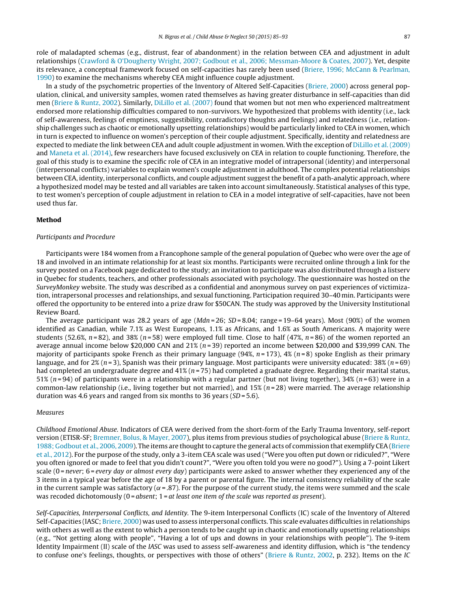role of maladapted schemas (e.g., distrust, fear of abandonment) in the relation between CEA and adjustment in adult relationships [\(Crawford](#page-7-0) [&](#page-7-0) [O'Dougherty](#page-7-0) [Wright,](#page-7-0) [2007;](#page-7-0) [Godbout](#page-7-0) et [al.,](#page-7-0) [2006;](#page-7-0) [Messman-Moore](#page-7-0) [&](#page-7-0) [Coates,](#page-7-0) [2007\).](#page-7-0) Yet, despite its relevance, a conceptual framework focused on self-capacities has rarely been used [\(Briere,](#page-7-0) [1996;](#page-7-0) [McCann](#page-7-0) [&](#page-7-0) [Pearlman,](#page-7-0) [1990\)](#page-7-0) to examine the mechanisms whereby CEA might influence couple adjustment.

In a study of the psychometric properties of the Inventory of Altered Self-Capacities [\(Briere,](#page-7-0) [2000\)](#page-7-0) across general population, clinical, and university samples, women rated themselves as having greater disturbance in self-capacities than did men [\(Briere](#page-7-0) [&](#page-7-0) [Runtz,](#page-7-0) [2002\).](#page-7-0) Similarly, [DiLillo](#page-7-0) et [al.](#page-7-0) [\(2007\)](#page-7-0) found that women but not men who experienced maltreatment endorsed more relationship difficulties compared to non-survivors. We hypothesized that problems with identity (i.e., lack of self-awareness, feelings of emptiness, suggestibility, contradictory thoughts and feelings) and relatedness (i.e., relationship challenges such as chaotic or emotionally upsetting relationships) would be particularly linked to CEA in women, which in turn is expected to influence on women's perception of their couple adjustment. Specifically, identity and relatedness are expected to mediate the link between CEA and adult couple adjustment in women. With the exception of [DiLillo](#page-7-0) et [al.](#page-7-0) [\(2009\)](#page-7-0) and [Maneta](#page-8-0) et [al.](#page-8-0) [\(2014\),](#page-8-0) few researchers have focused exclusively on CEA in relation to couple functioning. Therefore, the goal of this study is to examine the specific role of CEA in an integrative model of intrapersonal (identity) and interpersonal (interpersonal conflicts) variables to explain women's couple adjustment in adulthood. The complex potential relationships between CEA, identity, interpersonal conflicts, and couple adjustment suggest the benefit of a path-analytic approach, where a hypothesized model may be tested and all variables are taken into account simultaneously. Statistical analyses of this type, to test women's perception of couple adjustment in relation to CEA in a model integrative of self-capacities, have not been used thus far.

# **Method**

# Participants and Procedure

Participants were 184 women from a Francophone sample of the general population of Quebec who were over the age of 18 and involved in an intimate relationship for at least six months. Participants were recruited online through a link for the survey posted on a Facebook page dedicated to the study; an invitation to participate was also distributed through a listserv in Quebec for students, teachers, and other professionals associated with psychology. The questionnaire was hosted on the SurveyMonkey website. The study was described as a confidential and anonymous survey on past experiences of victimization, intrapersonal processes and relationships, and sexual functioning. Participation required 30–40 min. Participants were offered the opportunity to be entered into a prize draw for \$50CAN. The study was approved by the University Institutional Review Board.

The average participant was 28.2 years of age ( $Mdn = 26$ ;  $SD = 8.04$ ; range = 19–64 years). Most (90%) of the women identified as Canadian, while 7.1% as West Europeans, 1.1% as Africans, and 1.6% as South Americans. A majority were students (52.6%,  $n=82$ ), and 38% ( $n=58$ ) were employed full time. Close to half (47%,  $n=86$ ) of the women reported an average annual income below \$20,000 CAN and  $21\%$  (n=39) reported an income between \$20,000 and \$39,999 CAN. The majority of participants spoke French as their primary language (94%,  $n = 173$ ), 4% ( $n = 8$ ) spoke English as their primary language, and for 2% ( $n = 3$ ), Spanish was their primary language. Most participants were university educated: 38% ( $n = 69$ ) had completed an undergraduate degree and 41% ( $n = 75$ ) had completed a graduate degree. Regarding their marital status, 51% ( $n = 94$ ) of participants were in a relationship with a regular partner (but not living together), 34% ( $n = 63$ ) were in a common-law relationship (i.e., living together but not married), and  $15\%$  ( $n = 28$ ) were married. The average relationship duration was 4.6 years and ranged from six months to 36 years ( $SD = 5.6$ ).

#### Measures

Childhood Emotional Abuse. Indicators of CEA were derived from the short-form of the Early Trauma Inventory, self-report version (ETISR-SF; [Bremner,](#page-7-0) [Bolus,](#page-7-0) [&](#page-7-0) [Mayer,](#page-7-0) [2007\),](#page-7-0) plus items from previous studies of psychological abuse ([Briere](#page-7-0) [&](#page-7-0) [Runtz,](#page-7-0) [1988;](#page-7-0) [Godbout](#page-7-0) et [al.,](#page-7-0) [2006,](#page-7-0) [2009\).](#page-7-0) The items are thought to capture the general acts of commission that exemplify CEA [\(Briere](#page-7-0) et [al.,](#page-7-0) [2012\).](#page-7-0) For the purpose of the study, only a 3-item CEA scale was used ("Were you often put down or ridiculed?", "Were you often ignored or made to feel that you didn't count?", "Were you often told you were no good?"). Using a 7-point Likert scale  $(0$  = never; 6 = every day or almost every day) participants were asked to answer whether they experienced any of the 3 items in a typical year before the age of 18 by a parent or parental figure. The internal consistency reliability of the scale in the current sample was satisfactory ( $\alpha$  = .87). For the purpose of the current study, the items were summed and the scale was recoded dichotomously ( $0 = absent$ ;  $1 = at least one item of the scale was reported as present$ ).

Self-Capacities, Interpersonal Conflicts, and Identity. The 9-item Interpersonal Conflicts (IC) scale of the Inventory of Altered Self-Capacities (IASC; [Briere,](#page-7-0) [2000\)](#page-7-0) was used to assess interpersonal conflicts. This scale evaluates difficulties in relationships with others as well as the extent to which a person tends to be caught up in chaotic and emotionally upsetting relationships (e.g., "Not getting along with people", "Having a lot of ups and downs in your relationships with people"). The 9-item Identity Impairment (II) scale of the IASC was used to assess self-awareness and identity diffusion, which is "the tendency to confuse one's feelings, thoughts, or perspectives with those of others" [\(Briere](#page-7-0) [&](#page-7-0) [Runtz,](#page-7-0) [2002,](#page-7-0) p. 232). Items on the IC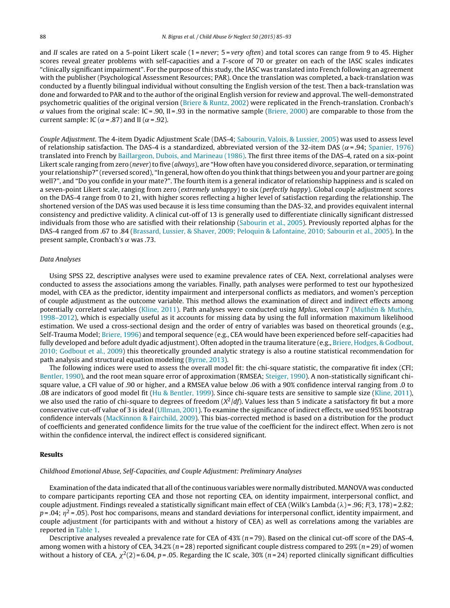and II scales are rated on a 5-point Likert scale (1=never;  $5 =$ very often) and total scores can range from 9 to 45. Higher scores reveal greater problems with self-capacities and a T-score of 70 or greater on each of the IASC scales indicates "clinically significantimpairment". For the purpose ofthis study,the IASC was translated into French following an agreement with the publisher (Psychological Assessment Resources; PAR). Once the translation was completed, a back-translation was conducted by a fluently bilingual individual without consulting the English version of the test. Then a back-translation was done and forwarded to PAR and to the author of the original English version for review and approval. The well-demonstrated psychometric qualities of the original version ([Briere](#page-7-0) [&](#page-7-0) [Runtz,](#page-7-0) [2002\)](#page-7-0) were replicated in the French-translation. Cronbach's  $\alpha$  values from the original scale: IC = .90, II = .93 in the normative sample ([Briere,](#page-7-0) [2000\)](#page-7-0) are comparable to those from the current sample: IC ( $\alpha$  = .87) and II ( $\alpha$  = .92).

Couple Adjustment. The 4-item Dyadic Adjustment Scale (DAS-4; [Sabourin,](#page-8-0) [Valois,](#page-8-0) [&](#page-8-0) [Lussier,](#page-8-0) [2005\)](#page-8-0) was used to assess level of relationship satisfaction. The DAS-4 is a standardized, abbreviated version of the 32-item DAS ( $\alpha$ =.94; [Spanier,](#page-8-0) [1976\)](#page-8-0) translated into French by [Baillargeon,](#page-7-0) [Dubois,](#page-7-0) [and](#page-7-0) [Marineau](#page-7-0) [\(1986\).](#page-7-0) The first three items of the DAS-4, rated on a six-point Likert scale ranging from zero (never) to five (always), are "How often have you considered divorce, separation, or terminating your relationship?" (reversed scored), "In general, how often do you think thatthings between you and your partner are going well?", and "Do you confide in your mate?". The fourth item is a general indicator of relationship happiness and is scaled on a seven-point Likert scale, ranging from zero (extremely unhappy) to six (perfectly happy). Global couple adjustment scores on the DAS-4 range from 0 to 21, with higher scores reflecting a higher level of satisfaction regarding the relationship. The shortened version of the DAS was used because it is less time consuming than the DAS-32, and provides equivalent internal consistency and predictive validity. A clinical cut-off of 13 is generally used to differentiate clinically significant distressed individuals from those who are satisfied with their relationship ([Sabourin](#page-8-0) et [al.,](#page-8-0) [2005\).](#page-8-0) Previously reported alphas for the DAS-4 ranged from .67 to .84 ([Brassard,](#page-7-0) [Lussier,](#page-7-0) [&](#page-7-0) [Shaver,](#page-7-0) [2009;](#page-7-0) [Peloquin](#page-7-0) [&](#page-7-0) [Lafontaine,](#page-7-0) [2010;](#page-7-0) [Sabourin](#page-7-0) et [al.,](#page-7-0) [2005\).](#page-7-0) In the present sample, Cronbach's  $\alpha$  was .73.

#### Data Analyses

Using SPSS 22, descriptive analyses were used to examine prevalence rates of CEA. Next, correlational analyses were conducted to assess the associations among the variables. Finally, path analyses were performed to test our hypothesized model, with CEA as the predictor, identity impairment and interpersonal conflicts as mediators, and women's perception of couple adjustment as the outcome variable. This method allows the examination of direct and indirect effects among potentially correlated variables [\(Kline,](#page-8-0) [2011\).](#page-8-0) Path analyses were conducted using Mplus, version 7 [\(Muthén](#page-8-0) [&](#page-8-0) [Muthén,](#page-8-0) [1998–2012\),](#page-8-0) which is especially useful as it accounts for missing data by using the full information maximum likelihood estimation. We used a cross-sectional design and the order of entry of variables was based on theoretical grounds (e.g., Self-Trauma Model; [Briere,](#page-7-0) [1996\)](#page-7-0) and temporal sequence (e.g., CEA would have been experienced before self-capacities had fully developed and before adult dyadic adjustment). Often adopted in the trauma literature (e.g., [Briere,](#page-7-0) [Hodges,](#page-7-0) [&](#page-7-0) [Godbout,](#page-7-0) [2010;](#page-7-0) [Godbout](#page-7-0) et [al.,](#page-7-0) [2009\)](#page-7-0) this theoretically grounded analytic strategy is also a routine statistical recommendation for path analysis and structural equation modeling [\(Byrne,](#page-7-0) [2013\).](#page-7-0)

The following indices were used to assess the overall model fit: the chi-square statistic, the comparative fit index (CFI; [Bentler,](#page-7-0) [1990\),](#page-7-0) and the root mean square error of approximation (RMSEA; [Steiger,](#page-8-0) [1990\).](#page-8-0) A non-statistically significant chisquare value, a CFI value of .90 or higher, and a RMSEA value below .06 with a 90% confidence interval ranging from .0 to .08 are indicators of good model fit ([Hu](#page-8-0) [&](#page-8-0) [Bentler,](#page-8-0) [1999\).](#page-8-0) Since chi-square tests are sensitive to sample size [\(Kline,](#page-8-0) [2011\),](#page-8-0) we also used the ratio of chi-square to degrees of freedom  $(X^2/df)$ . Values less than 5 indicate a satisfactory fit but a more conservative cut-off value of 3 is ideal [\(Ullman,](#page-8-0) [2001\).](#page-8-0) To examine the significance of indirect effects, we used 95% bootstrap confidence intervals ([MacKinnon](#page-8-0) [&](#page-8-0) [Fairchild,](#page-8-0) [2009\).](#page-8-0) This bias-corrected method is based on a distribution for the product of coefficients and generated confidence limits for the true value of the coefficient for the indirect effect. When zero is not within the confidence interval, the indirect effect is considered significant.

# **Results**

#### Childhood Emotional Abuse, Self-Capacities, and Couple Adjustment: Preliminary Analyses

Examination ofthe data indicated that all ofthe continuous variables were normally distributed. MANOVA was conducted to compare participants reporting CEA and those not reporting CEA, on identity impairment, interpersonal conflict, and couple adjustment. Findings revealed a statistically significant main effect of CEA (Wilk's Lambda ( $\lambda$ )= .96; F(3, 178)= 2.82;  $p = 0.04$ ;  $\eta^2 = 0.05$ ). Post hoc comparisons, means and standard deviations for interpersonal conflict, identity impairment, and couple adjustment (for participants with and without a history of CEA) as well as correlations among the variables are reported in [Table](#page-4-0) 1.

Descriptive analyses revealed a prevalence rate for CEA of  $43\%$  ( $n = 79$ ). Based on the clinical cut-off score of the DAS-4, among women with a history of CEA,  $34.2\%$  ( $n=28$ ) reported significant couple distress compared to  $29\%$  ( $n=29$ ) of women without a history of CEA,  $\chi^2(2)$  = 6.04, p = .05. Regarding the IC scale, 30% (n = 24) reported clinically significant difficulties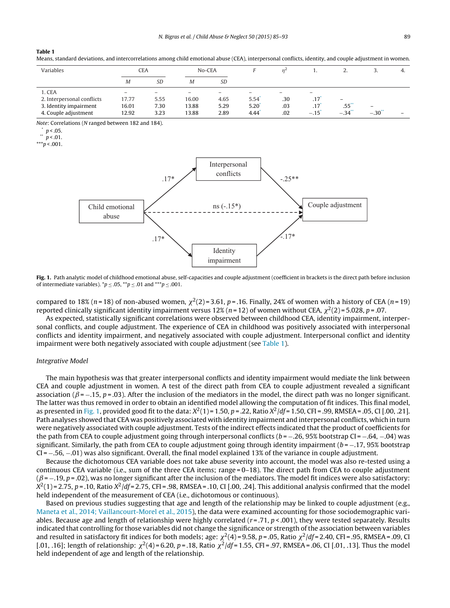<span id="page-4-0"></span>Means, standard deviations, and intercorrelations among child emotional abuse (CEA), interpersonal conflicts, identity, and couple adjustment in women.

| Variables                                                                              |                                                     | <b>CEA</b>                                       |                                                     | No-CEA               |                                           |                   |                                                               | <u>.</u>                                              |                     | -4.                      |
|----------------------------------------------------------------------------------------|-----------------------------------------------------|--------------------------------------------------|-----------------------------------------------------|----------------------|-------------------------------------------|-------------------|---------------------------------------------------------------|-------------------------------------------------------|---------------------|--------------------------|
|                                                                                        | M                                                   | <b>SD</b>                                        | Μ                                                   | SD                   |                                           |                   |                                                               |                                                       |                     |                          |
| 1. CEA<br>2. Interpersonal conflicts<br>3. Identity impairment<br>4. Couple adjustment | $\overline{\phantom{0}}$<br>17.77<br>16.01<br>12.92 | $\overline{\phantom{0}}$<br>5.55<br>7.30<br>3.23 | $\overline{\phantom{0}}$<br>16.00<br>13.88<br>13.88 | 4.65<br>5.29<br>2.89 | $5.54$ <sup>*</sup><br>$5.20^{*}$<br>4.44 | .30<br>.03<br>.02 | $\overline{\phantom{0}}$<br>.17<br>.17<br>$-.15$ <sup>*</sup> | $\qquad \qquad$<br>$.55^{**}$<br>$-.34$ <sup>**</sup> | -<br>$-.30^{\circ}$ | $\overline{\phantom{0}}$ |

Note: Correlations (N ranged between 182 and 184).

 $***p < .001$ .



**Fig. 1.** Path analytic model of childhood emotional abuse, self-capacities and couple adjustment (coefficient in brackets is the direct path before inclusion of intermediate variables).  $\mathbf{p} \leq 0.05$ ,  $\mathbf{p} \leq 0.01$  and  $\mathbf{p} \leq 0.001$ .

compared to 18% (n=18) of non-abused women,  $\chi^2(2) = 3.61$ , p = .16. Finally, 24% of women with a history of CEA (n=19) reported clinically significant identity impairment versus 12% (n = 12) of women without CEA,  $\chi^2(2) = 5.028$ , p = .07.

As expected, statistically significant correlations were observed between childhood CEA, identity impairment, interpersonal conflicts, and couple adjustment. The experience of CEA in childhood was positively associated with interpersonal conflicts and identity impairment, and negatively associated with couple adjustment. Interpersonal conflict and identity impairment were both negatively associated with couple adjustment (see Table 1).

#### Integrative Model

The main hypothesis was that greater interpersonal conflicts and identity impairment would mediate the link between CEA and couple adjustment in women. A test of the direct path from CEA to couple adjustment revealed a significant association ( $\beta$  = -.15, p = .03). After the inclusion of the mediators in the model, the direct path was no longer significant. The latter was thus removed in order to obtain an identified model allowing the computation of fit indices. This final model, as presented in Fig. 1, provided good fit to the data:  $X^2(1) = 1.50$ ,  $p = .22$ , Ratio  $X^2/df = 1.50$ , CFI = .99, RMSEA = .05, CI [.00, .21]. Path analyses showed that CEA was positively associated with identity impairment and interpersonal conflicts, which in turn were negatively associated with couple adjustment. Tests of the indirect effects indicated that the product of coefficients for the path from CEA to couple adjustment going through interpersonal conflicts ( $b = -0.26$ , 95% bootstrap CI =  $-0.64$ ,  $-0.04$ ) was significant. Similarly, the path from CEA to couple adjustment going through identity impairment ( $b = -17,95\%$  bootstrap CI = −.56, −.01) was also significant. Overall, the final model explained 13% of the variance in couple adjustment.

Because the dichotomous CEA variable does not take abuse severity into account, the model was also re-tested using a continuous CEA variable (i.e., sum of the three CEA items; range = 0–18). The direct path from CEA to couple adjustment  $(\beta = -19, p = .02)$ , was no longer significant after the inclusion of the mediators. The model fit indices were also satisfactory:  $X^2(1)$  = 2.75, p = .10, Ratio  $X^2/df$  = 2.75, CFI = .98, RMSEA = .10, CI [.00, .24]. This additional analysis confirmed that the model held independent of the measurement of CEA (i.e., dichotomous or continuous).

Based on previous studies suggesting that age and length of the relationship may be linked to couple adjustment (e.g., [Maneta](#page-8-0) et [al.,](#page-8-0) [2014;](#page-8-0) [Vaillancourt-Morel](#page-8-0) et [al.,](#page-8-0) [2015\),](#page-8-0) the data were examined accounting for those sociodemographic variables. Because age and length of relationship were highly correlated ( $r = .71$ ,  $p < .001$ ), they were tested separately. Results indicated that controlling for those variables did not change the significance or strength of the association between variables and resulted in satisfactory fit indices for both models; age:  $\chi^2(4)$  = 9.58, p = .05, Ratio  $\chi^2/df$  = 2.40, CFI = .95, RMSEA = .09, CI [.01, .16]; length of relationship:  $\chi^2(4) = 6.20$ , p = .18, Ratio  $\chi^2/df = 1.55$ , CFI = .97, RMSEA = .06, CI [.01, .13]. Thus the model held independent of age and length of the relationship.

 $\int_{A}^{b} p < .05$ .

 $p < 0.01$ .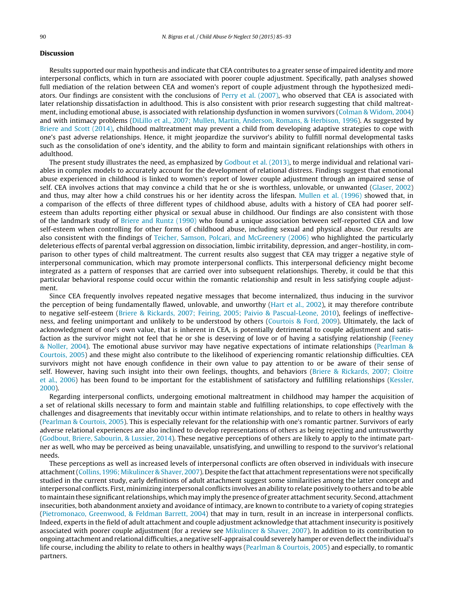# **Discussion**

Results supported our main hypothesis and indicate that CEA contributes to a greater sense of impaired identity and more interpersonal conflicts, which in turn are associated with poorer couple adjustment. Specifically, path analyses showed full mediation of the relation between CEA and women's report of couple adjustment through the hypothesized mediators. Our findings are consistent with the conclusions of [Perry](#page-8-0) et [al.](#page-8-0) [\(2007\),](#page-8-0) who observed that CEA is associated with later relationship dissatisfaction in adulthood. This is also consistent with prior research suggesting that child maltreatment, including emotional abuse, is associated with relationship dysfunction in women survivors [\(Colman](#page-7-0) [&](#page-7-0) [Widom,](#page-7-0) [2004\)](#page-7-0) and with intimacy problems ([DiLillo](#page-7-0) et [al.,](#page-7-0) [2007;](#page-7-0) [Mullen,](#page-7-0) [Martin,](#page-7-0) [Anderson,](#page-7-0) [Romans,](#page-7-0) [&](#page-7-0) [Herbison,](#page-7-0) [1996\).](#page-7-0) As suggested by [Briere](#page-7-0) [and](#page-7-0) [Scott](#page-7-0) [\(2014\),](#page-7-0) childhood maltreatment may prevent a child from developing adaptive strategies to cope with one's past adverse relationships. Hence, it might jeopardize the survivor's ability to fulfill normal developmental tasks such as the consolidation of one's identity, and the ability to form and maintain significant relationships with others in adulthood.

The present study illustrates the need, as emphasized by [Godbout](#page-7-0) et [al.](#page-7-0) [\(2013\),](#page-7-0) to merge individual and relational variables in complex models to accurately account for the development of relational distress. Findings suggest that emotional abuse experienced in childhood is linked to women's report of lower couple adjustment through an impaired sense of self. CEA involves actions that may convince a child that he or she is worthless, unlovable, or unwanted [\(Glaser,](#page-7-0) [2002\)](#page-7-0) and thus, may alter how a child construes his or her identity across the lifespan. [Mullen](#page-8-0) et [al.](#page-8-0) [\(1996\)](#page-8-0) showed that, in a comparison of the effects of three different types of childhood abuse, adults with a history of CEA had poorer selfesteem than adults reporting either physical or sexual abuse in childhood. Our findings are also consistent with those of the landmark study of [Briere](#page-7-0) [and](#page-7-0) [Runtz](#page-7-0) [\(1990\)](#page-7-0) who found a unique association between self-reported CEA and low self-esteem when controlling for other forms of childhood abuse, including sexual and physical abuse. Our results are also consistent with the findings of [Teicher,](#page-8-0) [Samson,](#page-8-0) [Polcari,](#page-8-0) [and](#page-8-0) [McGreenery](#page-8-0) [\(2006\)](#page-8-0) who highlighted the particularly deleterious effects of parental verbal aggression on dissociation, limbic irritability, depression, and anger–hostility, in comparison to other types of child maltreatment. The current results also suggest that CEA may trigger a negative style of interpersonal communication, which may promote interpersonal conflicts. This interpersonal deficiency might become integrated as a pattern of responses that are carried over into subsequent relationships. Thereby, it could be that this particular behavioral response could occur within the romantic relationship and result in less satisfying couple adjustment.

Since CEA frequently involves repeated negative messages that become internalized, thus inducing in the survivor the perception of being fundamentally flawed, unlovable, and unworthy ([Hart](#page-7-0) et [al.,](#page-7-0) [2002\),](#page-7-0) it may therefore contribute to negative self-esteem ([Briere](#page-7-0) [&](#page-7-0) [Rickards,](#page-7-0) [2007;](#page-7-0) [Feiring,](#page-7-0) [2005;](#page-7-0) [Paivio](#page-7-0) [&](#page-7-0) [Pascual-Leone,](#page-7-0) [2010\),](#page-7-0) feelings of ineffectiveness, and feeling unimportant and unlikely to be understood by others [\(Courtois](#page-7-0) [&](#page-7-0) [Ford,](#page-7-0) [2009\).](#page-7-0) Ultimately, the lack of acknowledgment of one's own value, that is inherent in CEA, is potentially detrimental to couple adjustment and satisfaction as the survivor might not feel that he or she is deserving of love or of having a satisfying relationship ([Feeney](#page-7-0) [&](#page-7-0) [Noller,](#page-7-0) [2004\).](#page-7-0) The emotional abuse survivor may have negative expectations of intimate relationships ([Pearlman](#page-8-0) [&](#page-8-0) [Courtois,](#page-8-0) [2005\)](#page-8-0) and these might also contribute to the likelihood of experiencing romantic relationship difficulties. CEA survivors might not have enough confidence in their own value to pay attention to or be aware of their sense of self. However, having such insight into their own feelings, thoughts, and behaviors [\(Briere](#page-7-0) [&](#page-7-0) [Rickards,](#page-7-0) [2007;](#page-7-0) [Cloitre](#page-7-0) et [al.,](#page-7-0) [2006\)](#page-7-0) has been found to be important for the establishment of satisfactory and fulfilling relationships [\(Kessler,](#page-8-0) [2000\).](#page-8-0)

Regarding interpersonal conflicts, undergoing emotional maltreatment in childhood may hamper the acquisition of a set of relational skills necessary to form and maintain stable and fulfilling relationships, to cope effectively with the challenges and disagreements that inevitably occur within intimate relationships, and to relate to others in healthy ways [\(Pearlman](#page-8-0) [&](#page-8-0) [Courtois,](#page-8-0) [2005\).](#page-8-0) This is especially relevant for the relationship with one's romantic partner. Survivors of early adverse relational experiences are also inclined to develop representations of others as being rejecting and untrustworthy [\(Godbout,](#page-7-0) [Briere,](#page-7-0) [Sabourin,](#page-7-0) [&](#page-7-0) [Lussier,](#page-7-0) [2014\).](#page-7-0) These negative perceptions of others are likely to apply to the intimate partner as well, who may be perceived as being unavailable, unsatisfying, and unwilling to respond to the survivor's relational needs.

These perceptions as well as increased levels of interpersonal conflicts are often observed in individuals with insecure attachment([Collins,](#page-7-0) [1996;](#page-7-0) [Mikulincer](#page-7-0) [&](#page-7-0) [Shaver,](#page-7-0) [2007\).](#page-7-0) Despite the factthat attachment representations were not specifically studied in the current study, early definitions of adult attachment suggest some similarities among the latter concept and interpersonal conflicts. First, minimizing interpersonal conflicts involves an ability to relate positively to others and to be able to maintain these significant relationships, which may imply the presence of greater attachment security. Second, attachment insecurities, both abandonment anxiety and avoidance of intimacy, are known to contribute to a variety of coping strategies [\(Pietromonaco,](#page-8-0) [Greenwood,](#page-8-0) [&](#page-8-0) [Feldman](#page-8-0) [Barrett,](#page-8-0) [2004\)](#page-8-0) that may in turn, result in an increase in interpersonal conflicts. Indeed, experts in the field of adult attachment and couple adjustment acknowledge that attachment insecurity is positively associated with poorer couple adjustment (for a review see [Mikulincer](#page-8-0) [&](#page-8-0) [Shaver,](#page-8-0) [2007\).](#page-8-0) In addition to its contribution to ongoing attachment andrelationaldifficulties, anegative self-appraisal couldseverelyhamper or evendeflectthe individual's life course, including the ability to relate to others in healthy ways ([Pearlman](#page-8-0) [&](#page-8-0) [Courtois,](#page-8-0) [2005\)](#page-8-0) and especially, to romantic partners.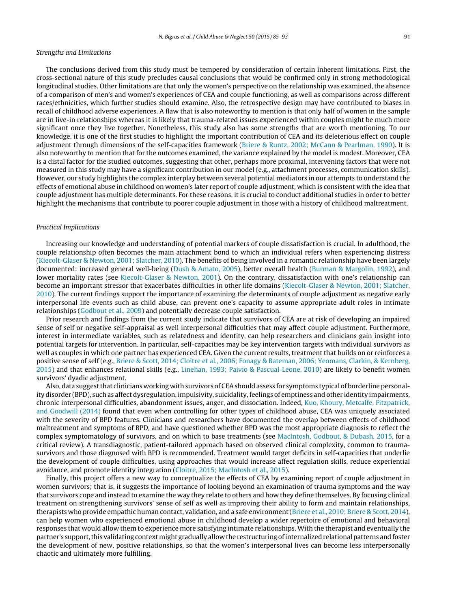## Strengths and Limitations

The conclusions derived from this study must be tempered by consideration of certain inherent limitations. First, the cross-sectional nature of this study precludes causal conclusions that would be confirmed only in strong methodological longitudinal studies. Other limitations are that only the women's perspective on the relationship was examined, the absence of a comparison of men's and women's experiences of CEA and couple functioning, as well as comparisons across different races/ethnicities, which further studies should examine. Also, the retrospective design may have contributed to biases in recall of childhood adverse experiences. A flaw that is also noteworthy to mention is that only half of women in the sample are in live-in relationships whereas it is likely that trauma-related issues experienced within couples might be much more significant once they live together. Nonetheless, this study also has some strengths that are worth mentioning. To our knowledge, it is one of the first studies to highlight the important contribution of CEA and its deleterious effect on couple adjustment through dimensions of the self-capacities framework [\(Briere](#page-7-0) [&](#page-7-0) [Runtz,](#page-7-0) [2002;](#page-7-0) [McCann](#page-7-0) [&](#page-7-0) [Pearlman,](#page-7-0) [1990\).](#page-7-0) It is also noteworthy to mention that for the outcomes examined, the variance explained by the model is modest. Moreover, CEA is a distal factor for the studied outcomes, suggesting that other, perhaps more proximal, intervening factors that were not measured in this study may have a significant contribution in our model (e.g., attachment processes, communication skills). However, our study highlights the complex interplay between several potential mediators in our attempts to understand the effects of emotional abuse in childhood on women's later report of couple adjustment, which is consistent with the idea that couple adjustment has multiple determinants. For these reasons, it is crucial to conduct additional studies in order to better highlight the mechanisms that contribute to poorer couple adjustment in those with a history of childhood maltreatment.

#### Practical Implications

Increasing our knowledge and understanding of potential markers of couple dissatisfaction is crucial. In adulthood, the couple relationship often becomes the main attachment bond to which an individual refers when experiencing distress [\(Kiecolt-Glaser](#page-8-0) [&](#page-8-0) [Newton,](#page-8-0) [2001;](#page-8-0) [Slatcher,](#page-8-0) [2010\).](#page-8-0) The benefits of being involved in a romantic relationship have been largely documented: increased general well-being [\(Dush](#page-7-0) [&](#page-7-0) [Amato,](#page-7-0) [2005\),](#page-7-0) better overall health ([Burman](#page-7-0) [&](#page-7-0) [Margolin,](#page-7-0) [1992\),](#page-7-0) and lower mortality rates (see [Kiecolt-Glaser](#page-8-0) [&](#page-8-0) [Newton,](#page-8-0) [2001\).](#page-8-0) On the contrary, dissatisfaction with one's relationship can become an important stressor that exacerbates difficulties in other life domains [\(Kiecolt-Glaser](#page-8-0) [&](#page-8-0) [Newton,](#page-8-0) [2001;](#page-8-0) [Slatcher,](#page-8-0) [2010\).](#page-8-0) The current findings support the importance of examining the determinants of couple adjustment as negative early interpersonal life events such as child abuse, can prevent one's capacity to assume appropriate adult roles in intimate relationships ([Godbout](#page-7-0) et [al.,](#page-7-0) [2009\)](#page-7-0) and potentially decrease couple satisfaction.

Prior research and findings from the current study indicate that survivors of CEA are at risk of developing an impaired sense of self or negative self-appraisal as well interpersonal difficulties that may affect couple adjustment. Furthermore, interest in intermediate variables, such as relatedness and identity, can help researchers and clinicians gain insight into potential targets for intervention. In particular, self-capacities may be key intervention targets with individual survivors as well as couples in which one partner has experienced CEA. Given the current results, treatment that builds on or reinforces a positive sense of self (e.g., [Briere](#page-7-0) [&](#page-7-0) [Scott,](#page-7-0) [2014;](#page-7-0) [Cloitre](#page-7-0) et [al.,](#page-7-0) [2006;](#page-7-0) [Fonagy](#page-7-0) [&](#page-7-0) [Bateman,](#page-7-0) [2006;](#page-7-0) [Yeomans,](#page-7-0) [Clarkin,](#page-7-0) [&](#page-7-0) [Kernberg,](#page-7-0) [2015\)](#page-7-0) and that enhances relational skills (e.g., [Linehan,](#page-8-0) [1993;](#page-8-0) [Paivio](#page-8-0) [&](#page-8-0) [Pascual-Leone,](#page-8-0) [2010\)](#page-8-0) are likely to benefit women survivors' dyadic adjustment.

Also, data suggestthat clinicians working with survivors of CEAshould assess for symptoms typical of borderline personality disorder (BPD), such as affect dysregulation, impulsivity, suicidality,feelings of emptiness and other identity impairments, chronic interpersonal difficulties, abandonment issues, anger, and dissociation. Indeed, [Kuo,](#page-8-0) [Khoury,](#page-8-0) [Metcalfe,](#page-8-0) [Fitzpatrick,](#page-8-0) [and](#page-8-0) [Goodwill](#page-8-0) [\(2014\)](#page-8-0) found that even when controlling for other types of childhood abuse, CEA was uniquely associated with the severity of BPD features. Clinicians and researchers have documented the overlap between effects of childhood maltreatment and symptoms of BPD, and have questioned whether BPD was the most appropriate diagnosis to reflect the complex symptomatology of survivors, and on which to base treatments (see [MacIntosh,](#page-8-0) [Godbout,](#page-8-0) [&](#page-8-0) [Dubash,](#page-8-0) [2015,](#page-8-0) for a critical review). A transdiagnostic, patient-tailored approach based on observed clinical complexity, common to traumasurvivors and those diagnosed with BPD is recommended. Treatment would target deficits in self-capacities that underlie the development of couple difficulties, using approaches that would increase affect regulation skills, reduce experiential avoidance, and promote identity integration [\(Cloitre,](#page-7-0) [2015;](#page-7-0) [MacIntosh](#page-7-0) et [al.,](#page-7-0) [2015\).](#page-7-0)

Finally, this project offers a new way to conceptualize the effects of CEA by examining report of couple adjustment in women survivors; that is, it suggests the importance of looking beyond an examination of trauma symptoms and the way that survivors cope and instead to examine the way they relate to others and how they define themselves. By focusing clinical treatment on strengthening survivors' sense of self as well as improving their ability to form and maintain relationships, therapists who provide empathic human contact, validation, and a safe environment[\(Briere](#page-7-0) et [al.,](#page-7-0) [2010;](#page-7-0) [Briere](#page-7-0) [&](#page-7-0) [Scott,](#page-7-0) [2014\),](#page-7-0) can help women who experienced emotional abuse in childhood develop a wider repertoire of emotional and behavioral responses that would allow them to experience more satisfying intimate relationships. With the therapist and eventually the partner's support, this validating context might gradually allow the restructuring of internalized relational patterns and foster the development of new, positive relationships, so that the women's interpersonal lives can become less interpersonally chaotic and ultimately more fulfilling.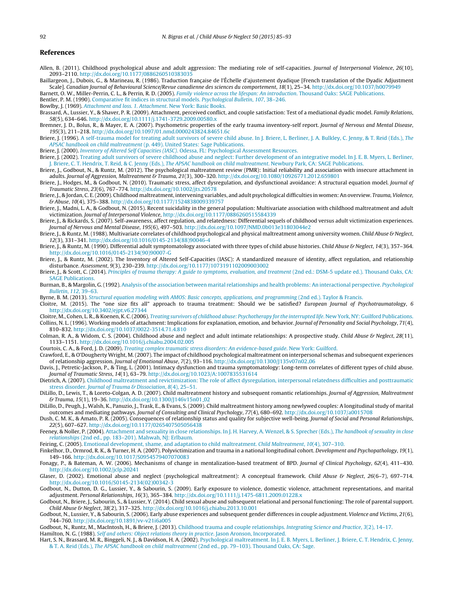# <span id="page-7-0"></span>**References**

- Allen, B. (2011). Childhood psychological abuse and adult aggression: The mediating role of self-capacities. Journal of Interpersonal Violence, 26(10), 2093–2110. [http://dx.doi.org/10.1177/0886260510383035](dx.doi.org/10.1177/0886260510383035)
- Baillargeon, J., Dubois, G., & Marineau, R. (1986). Traduction française de l'Échelle d'ajustement dyadique [French translation of the Dyadic Adjustment Scale]. Canadian Journal of Behavioural Science/Revue canadienne des sciences du comportement, 18(1), 25–34. [http://dx.doi.org/10.1037/h0079949](dx.doi.org/10.1037/h0079949)

Barnett, O. W., Miller-Perrin, C. L., & Perrin, R. D. (2005). [Family](http://refhub.elsevier.com/S0145-2134(15)00238-0/sbref0015) [violence](http://refhub.elsevier.com/S0145-2134(15)00238-0/sbref0015) [across](http://refhub.elsevier.com/S0145-2134(15)00238-0/sbref0015) [the](http://refhub.elsevier.com/S0145-2134(15)00238-0/sbref0015) [lifespan:](http://refhub.elsevier.com/S0145-2134(15)00238-0/sbref0015) [An](http://refhub.elsevier.com/S0145-2134(15)00238-0/sbref0015) [introduction](http://refhub.elsevier.com/S0145-2134(15)00238-0/sbref0015)[.](http://refhub.elsevier.com/S0145-2134(15)00238-0/sbref0015) [Thousand](http://refhub.elsevier.com/S0145-2134(15)00238-0/sbref0015) [Oaks:](http://refhub.elsevier.com/S0145-2134(15)00238-0/sbref0015) [SAGE](http://refhub.elsevier.com/S0145-2134(15)00238-0/sbref0015) [Publications.](http://refhub.elsevier.com/S0145-2134(15)00238-0/sbref0015) Bentler, P. M. (1990). [Comparative](http://refhub.elsevier.com/S0145-2134(15)00238-0/sbref0020) [fit](http://refhub.elsevier.com/S0145-2134(15)00238-0/sbref0020) [indices](http://refhub.elsevier.com/S0145-2134(15)00238-0/sbref0020) [in](http://refhub.elsevier.com/S0145-2134(15)00238-0/sbref0020) [structural](http://refhub.elsevier.com/S0145-2134(15)00238-0/sbref0020) [models.](http://refhub.elsevier.com/S0145-2134(15)00238-0/sbref0020) [Psychological](http://refhub.elsevier.com/S0145-2134(15)00238-0/sbref0020) [Bulletin](http://refhub.elsevier.com/S0145-2134(15)00238-0/sbref0020)[,](http://refhub.elsevier.com/S0145-2134(15)00238-0/sbref0020) [107](http://refhub.elsevier.com/S0145-2134(15)00238-0/sbref0020)[,](http://refhub.elsevier.com/S0145-2134(15)00238-0/sbref0020) [38](http://refhub.elsevier.com/S0145-2134(15)00238-0/sbref0020)–[246.](http://refhub.elsevier.com/S0145-2134(15)00238-0/sbref0020)

Bowlby, J. (1969). [Attachment](http://refhub.elsevier.com/S0145-2134(15)00238-0/sbref0025) [and](http://refhub.elsevier.com/S0145-2134(15)00238-0/sbref0025) [loss.](http://refhub.elsevier.com/S0145-2134(15)00238-0/sbref0025) [1.](http://refhub.elsevier.com/S0145-2134(15)00238-0/sbref0025) [Attachment](http://refhub.elsevier.com/S0145-2134(15)00238-0/sbref0025)[.](http://refhub.elsevier.com/S0145-2134(15)00238-0/sbref0025) [New](http://refhub.elsevier.com/S0145-2134(15)00238-0/sbref0025) [York:](http://refhub.elsevier.com/S0145-2134(15)00238-0/sbref0025) [Basic](http://refhub.elsevier.com/S0145-2134(15)00238-0/sbref0025) [Books.](http://refhub.elsevier.com/S0145-2134(15)00238-0/sbref0025)

- Brassard, A., Lussier, Y., & Shaver, P. R. (2009). Attachment, perceived conflict, and couple satisfaction: Test of a mediational dyadic model. Family Relations, 58(5), 634–646. [http://dx.doi.org/10.1111/j.1741-3729.2009.00580.x](dx.doi.org/10.1111/j.1741-3729.2009.00580.x)
- Bremner, J. D., Bolus, R., & Mayer, E. A. (2007). Psychometric properties of the early trauma inventory-self report. Journal of Nervous and Mental Disease, 195(3), 211–218. [http://dx.doi.org/10.1097/01.nmd.0000243824.84651.6c](dx.doi.org/10.1097/01.nmd.0000243824.84651.6c)
- Briere, J. (1996). [A](http://refhub.elsevier.com/S0145-2134(15)00238-0/sbref0040) [self-trauma](http://refhub.elsevier.com/S0145-2134(15)00238-0/sbref0040) [model](http://refhub.elsevier.com/S0145-2134(15)00238-0/sbref0040) [for](http://refhub.elsevier.com/S0145-2134(15)00238-0/sbref0040) [treating](http://refhub.elsevier.com/S0145-2134(15)00238-0/sbref0040) [adult](http://refhub.elsevier.com/S0145-2134(15)00238-0/sbref0040) [survivors](http://refhub.elsevier.com/S0145-2134(15)00238-0/sbref0040) [of](http://refhub.elsevier.com/S0145-2134(15)00238-0/sbref0040) [severe](http://refhub.elsevier.com/S0145-2134(15)00238-0/sbref0040) [child](http://refhub.elsevier.com/S0145-2134(15)00238-0/sbref0040) [abuse.](http://refhub.elsevier.com/S0145-2134(15)00238-0/sbref0040) [In](http://refhub.elsevier.com/S0145-2134(15)00238-0/sbref0040) [J.](http://refhub.elsevier.com/S0145-2134(15)00238-0/sbref0040) [Briere,](http://refhub.elsevier.com/S0145-2134(15)00238-0/sbref0040) [L.](http://refhub.elsevier.com/S0145-2134(15)00238-0/sbref0040) [Berliner,](http://refhub.elsevier.com/S0145-2134(15)00238-0/sbref0040) J. [A.](http://refhub.elsevier.com/S0145-2134(15)00238-0/sbref0040) [Bulkley,](http://refhub.elsevier.com/S0145-2134(15)00238-0/sbref0040) [C.](http://refhub.elsevier.com/S0145-2134(15)00238-0/sbref0040) [Jenny,](http://refhub.elsevier.com/S0145-2134(15)00238-0/sbref0040) [&](http://refhub.elsevier.com/S0145-2134(15)00238-0/sbref0040) [T.](http://refhub.elsevier.com/S0145-2134(15)00238-0/sbref0040) [Reid](http://refhub.elsevier.com/S0145-2134(15)00238-0/sbref0040) [\(Eds.\),](http://refhub.elsevier.com/S0145-2134(15)00238-0/sbref0040) [The](http://refhub.elsevier.com/S0145-2134(15)00238-0/sbref0040) [APSAC](http://refhub.elsevier.com/S0145-2134(15)00238-0/sbref0040) [handbook](http://refhub.elsevier.com/S0145-2134(15)00238-0/sbref0040) [on](http://refhub.elsevier.com/S0145-2134(15)00238-0/sbref0040) [child](http://refhub.elsevier.com/S0145-2134(15)00238-0/sbref0040) [maltreatment](http://refhub.elsevier.com/S0145-2134(15)00238-0/sbref0040) [\(p.](http://refhub.elsevier.com/S0145-2134(15)00238-0/sbref0040) [449\).](http://refhub.elsevier.com/S0145-2134(15)00238-0/sbref0040) [United](http://refhub.elsevier.com/S0145-2134(15)00238-0/sbref0040) [States:](http://refhub.elsevier.com/S0145-2134(15)00238-0/sbref0040) [Sage](http://refhub.elsevier.com/S0145-2134(15)00238-0/sbref0040) [Publications.](http://refhub.elsevier.com/S0145-2134(15)00238-0/sbref0040)
- Briere, J. (2000). [Inventory](http://refhub.elsevier.com/S0145-2134(15)00238-0/sbref0045) [of](http://refhub.elsevier.com/S0145-2134(15)00238-0/sbref0045) [Altered](http://refhub.elsevier.com/S0145-2134(15)00238-0/sbref0045) [Self](http://refhub.elsevier.com/S0145-2134(15)00238-0/sbref0045) [Capacities](http://refhub.elsevier.com/S0145-2134(15)00238-0/sbref0045) [\(IASC\)](http://refhub.elsevier.com/S0145-2134(15)00238-0/sbref0045)[.](http://refhub.elsevier.com/S0145-2134(15)00238-0/sbref0045) [Odessa,](http://refhub.elsevier.com/S0145-2134(15)00238-0/sbref0045) [FL:](http://refhub.elsevier.com/S0145-2134(15)00238-0/sbref0045) [Psychological](http://refhub.elsevier.com/S0145-2134(15)00238-0/sbref0045) [Assessment](http://refhub.elsevier.com/S0145-2134(15)00238-0/sbref0045) [Resources.](http://refhub.elsevier.com/S0145-2134(15)00238-0/sbref0045)
- Briere, J. (2002). [Treating](http://refhub.elsevier.com/S0145-2134(15)00238-0/sbref0050) [adult](http://refhub.elsevier.com/S0145-2134(15)00238-0/sbref0050) [survivors](http://refhub.elsevier.com/S0145-2134(15)00238-0/sbref0050) [of](http://refhub.elsevier.com/S0145-2134(15)00238-0/sbref0050) [severe](http://refhub.elsevier.com/S0145-2134(15)00238-0/sbref0050) [childhood](http://refhub.elsevier.com/S0145-2134(15)00238-0/sbref0050) [abuse](http://refhub.elsevier.com/S0145-2134(15)00238-0/sbref0050) [and](http://refhub.elsevier.com/S0145-2134(15)00238-0/sbref0050) [neglect:](http://refhub.elsevier.com/S0145-2134(15)00238-0/sbref0050) [Further](http://refhub.elsevier.com/S0145-2134(15)00238-0/sbref0050) [development](http://refhub.elsevier.com/S0145-2134(15)00238-0/sbref0050) of [an](http://refhub.elsevier.com/S0145-2134(15)00238-0/sbref0050) [integrative](http://refhub.elsevier.com/S0145-2134(15)00238-0/sbref0050) [model.](http://refhub.elsevier.com/S0145-2134(15)00238-0/sbref0050) [In](http://refhub.elsevier.com/S0145-2134(15)00238-0/sbref0050) [J.](http://refhub.elsevier.com/S0145-2134(15)00238-0/sbref0050) [E.](http://refhub.elsevier.com/S0145-2134(15)00238-0/sbref0050) [B.](http://refhub.elsevier.com/S0145-2134(15)00238-0/sbref0050) [Myers,](http://refhub.elsevier.com/S0145-2134(15)00238-0/sbref0050) [L.](http://refhub.elsevier.com/S0145-2134(15)00238-0/sbref0050) [Berliner,](http://refhub.elsevier.com/S0145-2134(15)00238-0/sbref0050) [J.](http://refhub.elsevier.com/S0145-2134(15)00238-0/sbref0050) [Briere,](http://refhub.elsevier.com/S0145-2134(15)00238-0/sbref0050) [C.](http://refhub.elsevier.com/S0145-2134(15)00238-0/sbref0050) [T.](http://refhub.elsevier.com/S0145-2134(15)00238-0/sbref0050) [Hendrix,](http://refhub.elsevier.com/S0145-2134(15)00238-0/sbref0050) [T.](http://refhub.elsevier.com/S0145-2134(15)00238-0/sbref0050) [Reid,](http://refhub.elsevier.com/S0145-2134(15)00238-0/sbref0050) [&](http://refhub.elsevier.com/S0145-2134(15)00238-0/sbref0050) [C.](http://refhub.elsevier.com/S0145-2134(15)00238-0/sbref0050) [Jenny](http://refhub.elsevier.com/S0145-2134(15)00238-0/sbref0050) [\(Eds.\),](http://refhub.elsevier.com/S0145-2134(15)00238-0/sbref0050) [The](http://refhub.elsevier.com/S0145-2134(15)00238-0/sbref0050) [APSAC](http://refhub.elsevier.com/S0145-2134(15)00238-0/sbref0050) [handbook](http://refhub.elsevier.com/S0145-2134(15)00238-0/sbref0050) [on](http://refhub.elsevier.com/S0145-2134(15)00238-0/sbref0050) [child](http://refhub.elsevier.com/S0145-2134(15)00238-0/sbref0050) [maltreatment](http://refhub.elsevier.com/S0145-2134(15)00238-0/sbref0050)[.](http://refhub.elsevier.com/S0145-2134(15)00238-0/sbref0050) [Newbury](http://refhub.elsevier.com/S0145-2134(15)00238-0/sbref0050) [Park,](http://refhub.elsevier.com/S0145-2134(15)00238-0/sbref0050) [CA:](http://refhub.elsevier.com/S0145-2134(15)00238-0/sbref0050) [SAGE](http://refhub.elsevier.com/S0145-2134(15)00238-0/sbref0050) [Publications.](http://refhub.elsevier.com/S0145-2134(15)00238-0/sbref0050)
- Briere, J., Godbout, N., & Runtz, M. (2012). The psychological maltreatment review (PMR): Initial reliability and association with insecure attachment in adults. Journal of Aggression, Maltreatment & Trauma, 21(3), 300–320. [http://dx.doi.org/10.1080/10926771.2012.659801](dx.doi.org/10.1080/10926771.2012.659801)
- Briere, J., Hodges, M., & Godbout, N. (2010). Traumatic stress, affect dysregulation, and dysfunctional avoidance: A structural equation model. Journal of Traumatic Stress, 23(6), 767–774. [http://dx.doi.org/10.1002/jts.20578](dx.doi.org/10.1002/jts.20578)
- Briere, J., & Jordan, C. E. (2009). Childhood maltreatment, intervening variables, and adult psychological difficulties in women: An overview. Trauma, Violence, & Abuse, 10(4), 375–388. [http://dx.doi.org/10.1177/1524838009339757](dx.doi.org/10.1177/1524838009339757)
- Briere, J., Madni, L. A., & Godbout, N. (2015). Recent suicidality in the general population: Multivariate association with childhood maltreatment and adult victimization. Journal of Interpersonal Violence, [http://dx.doi.org/10.1177/0886260515584339](dx.doi.org/10.1177/0886260515584339)
- Briere, J., & Rickards, S. (2007). Self-awareness, affect regulation, and relatedness: Differential sequels of childhood versus adult victimization experiences. Journal of Nervous and Mental Disease, 195(6), 497–503. [http://dx.doi.org/10.1097/NMD.0b013e31803044e2](dx.doi.org/10.1097/NMD.0b013e31803044e2)
- Briere, J., & Runtz, M. (1988). Multivariate correlates of childhood psychological and physical maltreatment among university women. Child Abuse & Neglect, 12(3), 331–341. [http://dx.doi.org/10.1016/0145-2134\(88\)90046-4](dx.doi.org/10.1016/0145-2134(88)90046-4)
- Briere, J., & Runtz, M. (1990). Differential adult symptomatology associated with three types of child abuse histories. Child Abuse & Neglect, 14(3), 357-364. [http://dx.doi.org/10.1016/0145-2134\(90\)90007-G](dx.doi.org/10.1016/0145-2134(90)90007-G)
- Briere, J., & Runtz, M. (2002). The Inventory of Altered Self-Capacities (IASC): A standardized measure of identity, affect regulation, and relationship disturbance. Assessment, 9(3), 230–239. [http://dx.doi.org/10.1177/1073191102009003002](dx.doi.org/10.1177/1073191102009003002)
- Briere, J., & Scott, C. (2014). [Principles](http://refhub.elsevier.com/S0145-2134(15)00238-0/sbref0095) [of](http://refhub.elsevier.com/S0145-2134(15)00238-0/sbref0095) [trauma](http://refhub.elsevier.com/S0145-2134(15)00238-0/sbref0095) [therapy:](http://refhub.elsevier.com/S0145-2134(15)00238-0/sbref0095) [A](http://refhub.elsevier.com/S0145-2134(15)00238-0/sbref0095) [guide](http://refhub.elsevier.com/S0145-2134(15)00238-0/sbref0095) [to](http://refhub.elsevier.com/S0145-2134(15)00238-0/sbref0095) [symptoms,](http://refhub.elsevier.com/S0145-2134(15)00238-0/sbref0095) [evaluation,](http://refhub.elsevier.com/S0145-2134(15)00238-0/sbref0095) [and](http://refhub.elsevier.com/S0145-2134(15)00238-0/sbref0095) [treatment](http://refhub.elsevier.com/S0145-2134(15)00238-0/sbref0095) [\(2nd](http://refhub.elsevier.com/S0145-2134(15)00238-0/sbref0095) [ed.:](http://refhub.elsevier.com/S0145-2134(15)00238-0/sbref0095) [DSM-5](http://refhub.elsevier.com/S0145-2134(15)00238-0/sbref0095) [update](http://refhub.elsevier.com/S0145-2134(15)00238-0/sbref0095) [ed.\).](http://refhub.elsevier.com/S0145-2134(15)00238-0/sbref0095) [Thousand](http://refhub.elsevier.com/S0145-2134(15)00238-0/sbref0095) [Oaks,](http://refhub.elsevier.com/S0145-2134(15)00238-0/sbref0095) [CA:](http://refhub.elsevier.com/S0145-2134(15)00238-0/sbref0095) [SAGE](http://refhub.elsevier.com/S0145-2134(15)00238-0/sbref0095) [Publications.](http://refhub.elsevier.com/S0145-2134(15)00238-0/sbref0095)
- Burman, B., & Margolin, G. (1992). [Analysis](http://refhub.elsevier.com/S0145-2134(15)00238-0/sbref0100) of the [association](http://refhub.elsevier.com/S0145-2134(15)00238-0/sbref0100) [between](http://refhub.elsevier.com/S0145-2134(15)00238-0/sbref0100) [marital](http://refhub.elsevier.com/S0145-2134(15)00238-0/sbref0100) [relationships](http://refhub.elsevier.com/S0145-2134(15)00238-0/sbref0100) [and](http://refhub.elsevier.com/S0145-2134(15)00238-0/sbref0100) [health](http://refhub.elsevier.com/S0145-2134(15)00238-0/sbref0100) [problems:](http://refhub.elsevier.com/S0145-2134(15)00238-0/sbref0100) [An](http://refhub.elsevier.com/S0145-2134(15)00238-0/sbref0100) [interactional](http://refhub.elsevier.com/S0145-2134(15)00238-0/sbref0100) [perspective.](http://refhub.elsevier.com/S0145-2134(15)00238-0/sbref0100) [Psychological](http://refhub.elsevier.com/S0145-2134(15)00238-0/sbref0100) [Bulletin](http://refhub.elsevier.com/S0145-2134(15)00238-0/sbref0100)[,](http://refhub.elsevier.com/S0145-2134(15)00238-0/sbref0100) [112](http://refhub.elsevier.com/S0145-2134(15)00238-0/sbref0100)[,](http://refhub.elsevier.com/S0145-2134(15)00238-0/sbref0100) [39–63.](http://refhub.elsevier.com/S0145-2134(15)00238-0/sbref0100)
- Byrne, B. M. (2013). [Structural](http://refhub.elsevier.com/S0145-2134(15)00238-0/sbref0105) [equation](http://refhub.elsevier.com/S0145-2134(15)00238-0/sbref0105) [modeling](http://refhub.elsevier.com/S0145-2134(15)00238-0/sbref0105) [with](http://refhub.elsevier.com/S0145-2134(15)00238-0/sbref0105) [AMOS:](http://refhub.elsevier.com/S0145-2134(15)00238-0/sbref0105) [Basic](http://refhub.elsevier.com/S0145-2134(15)00238-0/sbref0105) [concepts,](http://refhub.elsevier.com/S0145-2134(15)00238-0/sbref0105) [applications,](http://refhub.elsevier.com/S0145-2134(15)00238-0/sbref0105) [and](http://refhub.elsevier.com/S0145-2134(15)00238-0/sbref0105) [programming](http://refhub.elsevier.com/S0145-2134(15)00238-0/sbref0105) [\(2nd](http://refhub.elsevier.com/S0145-2134(15)00238-0/sbref0105) [ed.\).](http://refhub.elsevier.com/S0145-2134(15)00238-0/sbref0105) [Taylor](http://refhub.elsevier.com/S0145-2134(15)00238-0/sbref0105) [&](http://refhub.elsevier.com/S0145-2134(15)00238-0/sbref0105) [Francis.](http://refhub.elsevier.com/S0145-2134(15)00238-0/sbref0105)
- Cloitre, M. (2015). The "one size fits all" approach to trauma treatment: Should we be satisfied? European Journal of Psychotraumatology, 6 [http://dx.doi.org/10.3402/ejpt.v6.27344](dx.doi.org/10.3402/ejpt.v6.27344)
- Cloitre, M., Cohen, L. R., & Koenen, K. C. (2006). [Treating](http://refhub.elsevier.com/S0145-2134(15)00238-0/sbref0115) [survivors](http://refhub.elsevier.com/S0145-2134(15)00238-0/sbref0115) [of](http://refhub.elsevier.com/S0145-2134(15)00238-0/sbref0115) [childhood](http://refhub.elsevier.com/S0145-2134(15)00238-0/sbref0115) [abuse:](http://refhub.elsevier.com/S0145-2134(15)00238-0/sbref0115) [Psychotherapy](http://refhub.elsevier.com/S0145-2134(15)00238-0/sbref0115) [for](http://refhub.elsevier.com/S0145-2134(15)00238-0/sbref0115) [the](http://refhub.elsevier.com/S0145-2134(15)00238-0/sbref0115) [interrupted](http://refhub.elsevier.com/S0145-2134(15)00238-0/sbref0115) [life](http://refhub.elsevier.com/S0145-2134(15)00238-0/sbref0115)[.](http://refhub.elsevier.com/S0145-2134(15)00238-0/sbref0115) [New](http://refhub.elsevier.com/S0145-2134(15)00238-0/sbref0115) [York,](http://refhub.elsevier.com/S0145-2134(15)00238-0/sbref0115) [NY:](http://refhub.elsevier.com/S0145-2134(15)00238-0/sbref0115) [Guilford](http://refhub.elsevier.com/S0145-2134(15)00238-0/sbref0115) [Publications.](http://refhub.elsevier.com/S0145-2134(15)00238-0/sbref0115) Collins, N. L. (1996). Working models of attachment: Implications for explanation, emotion, and behavior. Journal of Personality and Social Psychology, 71(4), 810–832. [http://dx.doi.org/10.1037/0022-3514.71.4.810](dx.doi.org/10.1037/0022-3514.71.4.810)
- Colman, R. A., & Widom, C. S. (2004). Childhood abuse and neglect and adult intimate relationships: A prospective study. Child Abuse & Neglect, 28(11), 1133–1151. [http://dx.doi.org/10.1016/j.chiabu.2004.02.005](dx.doi.org/10.1016/j.chiabu.2004.02.005)
- Courtois, C. A., & Ford, J. D. (2009). [Treating](http://refhub.elsevier.com/S0145-2134(15)00238-0/sbref0130) [complex](http://refhub.elsevier.com/S0145-2134(15)00238-0/sbref0130) [traumatic](http://refhub.elsevier.com/S0145-2134(15)00238-0/sbref0130) [stress](http://refhub.elsevier.com/S0145-2134(15)00238-0/sbref0130) [disorders:](http://refhub.elsevier.com/S0145-2134(15)00238-0/sbref0130) [An](http://refhub.elsevier.com/S0145-2134(15)00238-0/sbref0130) [evidence-based](http://refhub.elsevier.com/S0145-2134(15)00238-0/sbref0130) [guide](http://refhub.elsevier.com/S0145-2134(15)00238-0/sbref0130)[.](http://refhub.elsevier.com/S0145-2134(15)00238-0/sbref0130) [New](http://refhub.elsevier.com/S0145-2134(15)00238-0/sbref0130) [York:](http://refhub.elsevier.com/S0145-2134(15)00238-0/sbref0130) [Guilford.](http://refhub.elsevier.com/S0145-2134(15)00238-0/sbref0130)
- Crawford, E., & O'Dougherty Wright, M. (2007). The impact of childhood psychological maltreatment on interpersonal schemas and subsequent experiences of relationship aggression. Journal of Emotional Abuse, 7(2), 93–116. [http://dx.doi.org/10.1300/J135v07n02](dx.doi.org/10.1300/J135v07n02_06) 06
- Davis, J., Petretic-Jackson, P., & Ting, L. (2001). Intimacy dysfunction and trauma symptomatology: Long-term correlates of different types of child abuse. Journal of Traumatic Stress, 14(1), 63–79. [http://dx.doi.org/10.1023/A:1007835531614](dx.doi.org/10.1023/A:1007835531614)
- Dietrich, A. (2007). [Childhood](http://refhub.elsevier.com/S0145-2134(15)00238-0/sbref0145) [maltreatment](http://refhub.elsevier.com/S0145-2134(15)00238-0/sbref0145) [and](http://refhub.elsevier.com/S0145-2134(15)00238-0/sbref0145) [revictimization:](http://refhub.elsevier.com/S0145-2134(15)00238-0/sbref0145) [The](http://refhub.elsevier.com/S0145-2134(15)00238-0/sbref0145) [role](http://refhub.elsevier.com/S0145-2134(15)00238-0/sbref0145) [of](http://refhub.elsevier.com/S0145-2134(15)00238-0/sbref0145) [affect](http://refhub.elsevier.com/S0145-2134(15)00238-0/sbref0145) [dysregulation,](http://refhub.elsevier.com/S0145-2134(15)00238-0/sbref0145) [interpersonal](http://refhub.elsevier.com/S0145-2134(15)00238-0/sbref0145) [relatedness](http://refhub.elsevier.com/S0145-2134(15)00238-0/sbref0145) [difficulties](http://refhub.elsevier.com/S0145-2134(15)00238-0/sbref0145) [and](http://refhub.elsevier.com/S0145-2134(15)00238-0/sbref0145) [posttraumatic](http://refhub.elsevier.com/S0145-2134(15)00238-0/sbref0145) [stress](http://refhub.elsevier.com/S0145-2134(15)00238-0/sbref0145) [disorder.](http://refhub.elsevier.com/S0145-2134(15)00238-0/sbref0145) [Journal](http://refhub.elsevier.com/S0145-2134(15)00238-0/sbref0145) [of](http://refhub.elsevier.com/S0145-2134(15)00238-0/sbref0145) [Trauma](http://refhub.elsevier.com/S0145-2134(15)00238-0/sbref0145) [&](http://refhub.elsevier.com/S0145-2134(15)00238-0/sbref0145) [Dissociation](http://refhub.elsevier.com/S0145-2134(15)00238-0/sbref0145)[,](http://refhub.elsevier.com/S0145-2134(15)00238-0/sbref0145) [8](http://refhub.elsevier.com/S0145-2134(15)00238-0/sbref0145)[\(4\),](http://refhub.elsevier.com/S0145-2134(15)00238-0/sbref0145) [25–51.](http://refhub.elsevier.com/S0145-2134(15)00238-0/sbref0145)
- DiLillo, D., Lewis, T., & Loreto-Colgan, A. D. (2007). Child maltreatment history and subsequent romantic relationships. Journal of Aggression, Maltreatment & Trauma, 15(1), 19–36. [http://dx.doi.org/10.1300/J146v15n01](dx.doi.org/10.1300/J146v15n01_02) 02
- DiLillo, D., Peugh, J., Walsh, K., Panuzio, J., Trask, E., & Evans, S. (2009). Child maltreatment history among newlywed couples: A longitudinal study of marital outcomes and mediating pathways. Journal of Consulting and Clinical Psychology, 77(4), 680–692. [http://dx.doi.org/10.1037/a0015708](dx.doi.org/10.1037/a0015708)
- Dush, C. M. K., & Amato, P. R. (2005). Consequences of relationship status and quality for subjective well-being. Journal of Social and Personal Relationships, 22(5), 607–627. [http://dx.doi.org/10.1177/0265407505056438](dx.doi.org/10.1177/0265407505056438)
- Feeney, & Noller, P. (2004). [Attachment](http://refhub.elsevier.com/S0145-2134(15)00238-0/sbref0170) [and](http://refhub.elsevier.com/S0145-2134(15)00238-0/sbref0170) [sexuality](http://refhub.elsevier.com/S0145-2134(15)00238-0/sbref0170) [in](http://refhub.elsevier.com/S0145-2134(15)00238-0/sbref0170) [close](http://refhub.elsevier.com/S0145-2134(15)00238-0/sbref0170) [relationships.](http://refhub.elsevier.com/S0145-2134(15)00238-0/sbref0170) [In](http://refhub.elsevier.com/S0145-2134(15)00238-0/sbref0170) [J.](http://refhub.elsevier.com/S0145-2134(15)00238-0/sbref0170) [H.](http://refhub.elsevier.com/S0145-2134(15)00238-0/sbref0170) [Harvey,](http://refhub.elsevier.com/S0145-2134(15)00238-0/sbref0170) [A.](http://refhub.elsevier.com/S0145-2134(15)00238-0/sbref0170) [Wenzel,](http://refhub.elsevier.com/S0145-2134(15)00238-0/sbref0170) [&](http://refhub.elsevier.com/S0145-2134(15)00238-0/sbref0170) [S.](http://refhub.elsevier.com/S0145-2134(15)00238-0/sbref0170) [Sprecher](http://refhub.elsevier.com/S0145-2134(15)00238-0/sbref0170) [\(Eds.\),](http://refhub.elsevier.com/S0145-2134(15)00238-0/sbref0170) [The](http://refhub.elsevier.com/S0145-2134(15)00238-0/sbref0170) [handbook](http://refhub.elsevier.com/S0145-2134(15)00238-0/sbref0170) [of](http://refhub.elsevier.com/S0145-2134(15)00238-0/sbref0170) sexuality in close [relationships](http://refhub.elsevier.com/S0145-2134(15)00238-0/sbref0170) [\(2nd](http://refhub.elsevier.com/S0145-2134(15)00238-0/sbref0170) [ed.,](http://refhub.elsevier.com/S0145-2134(15)00238-0/sbref0170) [pp.](http://refhub.elsevier.com/S0145-2134(15)00238-0/sbref0170) [183–201\).](http://refhub.elsevier.com/S0145-2134(15)00238-0/sbref0170) [Mahwah,](http://refhub.elsevier.com/S0145-2134(15)00238-0/sbref0170) [NJ:](http://refhub.elsevier.com/S0145-2134(15)00238-0/sbref0170) [Erlbaum.](http://refhub.elsevier.com/S0145-2134(15)00238-0/sbref0170)

Feiring, C. (2005). [Emotional](http://refhub.elsevier.com/S0145-2134(15)00238-0/sbref0175) [development,](http://refhub.elsevier.com/S0145-2134(15)00238-0/sbref0175) [shame,](http://refhub.elsevier.com/S0145-2134(15)00238-0/sbref0175) [and](http://refhub.elsevier.com/S0145-2134(15)00238-0/sbref0175) [adaptation](http://refhub.elsevier.com/S0145-2134(15)00238-0/sbref0175) [to](http://refhub.elsevier.com/S0145-2134(15)00238-0/sbref0175) [child](http://refhub.elsevier.com/S0145-2134(15)00238-0/sbref0175) [maltreatment.](http://refhub.elsevier.com/S0145-2134(15)00238-0/sbref0175) [Child](http://refhub.elsevier.com/S0145-2134(15)00238-0/sbref0175) [Maltreatment](http://refhub.elsevier.com/S0145-2134(15)00238-0/sbref0175)[,](http://refhub.elsevier.com/S0145-2134(15)00238-0/sbref0175) [10](http://refhub.elsevier.com/S0145-2134(15)00238-0/sbref0175)[\(4\),](http://refhub.elsevier.com/S0145-2134(15)00238-0/sbref0175) [307–310.](http://refhub.elsevier.com/S0145-2134(15)00238-0/sbref0175)

Finkelhor, D., Ormrod, R. K., & Turner, H. A. (2007). Polyvictimization and trauma in a national longitudinal cohort. Development and Psychopathology, 19(1), 149–166. [http://dx.doi.org/10.1017/S0954579407070083](dx.doi.org/10.1017/S0954579407070083)

Fonagy, P., & Bateman, A. W. (2006). Mechanisms of change in mentalization-based treatment of BPD. Journal of Clinical Psychology, 62(4), 411–430. [http://dx.doi.org/10.1002/jclp.20241](dx.doi.org/10.1002/jclp.20241)

Glaser, D. (2002). Emotional abuse and neglect (psychological maltreatment): A conceptual framework. Child Abuse & Neglect, 26(6-7), 697-714. [http://dx.doi.org/10.1016/S0145-2134\(02\)00342-3](dx.doi.org/10.1016/S0145-2134(02)00342-3)

Godbout, N., Dutton, D. G., Lussier, Y., & Sabourin, S. (2009). Early exposure to violence, domestic violence, attachment representations, and marital adjustment. Personal Relationships, 16(3), 365–384. [http://dx.doi.org/10.1111/j.1475-6811.2009.01228.x](dx.doi.org/10.1111/j.1475-6811.2009.01228.x)

Godbout, N., Briere, J., Sabourin, S., & Lussier, Y. (2014). Child sexual abuse and subsequent relational and personal functioning: The role of parental support. Child Abuse & Neglect, 38(2), 317–325. [http://dx.doi.org/10.1016/j.chiabu.2013.10.001](dx.doi.org/10.1016/j.chiabu.2013.10.001)

Godbout, N., Lussier, Y., & Sabourin, S. (2006). Early abuse experiences and subsequent gender differences in couple adjustment. Violence and Victims, 21(6), 744–760. [http://dx.doi.org/10.1891/vv-v21i6a005](dx.doi.org/10.1891/vv-v21i6a005)

Godbout, N., Runtz, M., MacIntosh, H., & Briere, J. (2013). [Childhood](http://refhub.elsevier.com/S0145-2134(15)00238-0/sbref0205) [trauma](http://refhub.elsevier.com/S0145-2134(15)00238-0/sbref0205) [and](http://refhub.elsevier.com/S0145-2134(15)00238-0/sbref0205) [couple](http://refhub.elsevier.com/S0145-2134(15)00238-0/sbref0205) [relationships.](http://refhub.elsevier.com/S0145-2134(15)00238-0/sbref0205) [Integrating](http://refhub.elsevier.com/S0145-2134(15)00238-0/sbref0205) [Science](http://refhub.elsevier.com/S0145-2134(15)00238-0/sbref0205) [and](http://refhub.elsevier.com/S0145-2134(15)00238-0/sbref0205) [Practice](http://refhub.elsevier.com/S0145-2134(15)00238-0/sbref0205)[,](http://refhub.elsevier.com/S0145-2134(15)00238-0/sbref0205) [3](http://refhub.elsevier.com/S0145-2134(15)00238-0/sbref0205)[\(2\),](http://refhub.elsevier.com/S0145-2134(15)00238-0/sbref0205) [14](http://refhub.elsevier.com/S0145-2134(15)00238-0/sbref0205)–[17.](http://refhub.elsevier.com/S0145-2134(15)00238-0/sbref0205)

Hamilton, N. G. (1988). [Self](http://refhub.elsevier.com/S0145-2134(15)00238-0/sbref0210) [and](http://refhub.elsevier.com/S0145-2134(15)00238-0/sbref0210) [others:](http://refhub.elsevier.com/S0145-2134(15)00238-0/sbref0210) [Object](http://refhub.elsevier.com/S0145-2134(15)00238-0/sbref0210) [relations](http://refhub.elsevier.com/S0145-2134(15)00238-0/sbref0210) [theory](http://refhub.elsevier.com/S0145-2134(15)00238-0/sbref0210) [in](http://refhub.elsevier.com/S0145-2134(15)00238-0/sbref0210) [practice](http://refhub.elsevier.com/S0145-2134(15)00238-0/sbref0210)[.](http://refhub.elsevier.com/S0145-2134(15)00238-0/sbref0210) [Jason](http://refhub.elsevier.com/S0145-2134(15)00238-0/sbref0210) [Aronson,](http://refhub.elsevier.com/S0145-2134(15)00238-0/sbref0210) Incorporated Hart, S. N., Brassard, M. R., Binggeli, N. J., & Davidson, H. A. (2002). [Psychological](http://refhub.elsevier.com/S0145-2134(15)00238-0/sbref0215) [maltreatment.](http://refhub.elsevier.com/S0145-2134(15)00238-0/sbref0215) [In](http://refhub.elsevier.com/S0145-2134(15)00238-0/sbref0215) [J.](http://refhub.elsevier.com/S0145-2134(15)00238-0/sbref0215) [E.](http://refhub.elsevier.com/S0145-2134(15)00238-0/sbref0215) [B.](http://refhub.elsevier.com/S0145-2134(15)00238-0/sbref0215) [Myers,](http://refhub.elsevier.com/S0145-2134(15)00238-0/sbref0215) [L.](http://refhub.elsevier.com/S0145-2134(15)00238-0/sbref0215) [Berliner,](http://refhub.elsevier.com/S0145-2134(15)00238-0/sbref0215) J. [Briere,](http://refhub.elsevier.com/S0145-2134(15)00238-0/sbref0215) [C.](http://refhub.elsevier.com/S0145-2134(15)00238-0/sbref0215) [T.](http://refhub.elsevier.com/S0145-2134(15)00238-0/sbref0215) [Hendrix,](http://refhub.elsevier.com/S0145-2134(15)00238-0/sbref0215) C. [Jenny,](http://refhub.elsevier.com/S0145-2134(15)00238-0/sbref0215)

[&](http://refhub.elsevier.com/S0145-2134(15)00238-0/sbref0215) [T.](http://refhub.elsevier.com/S0145-2134(15)00238-0/sbref0215) [A.](http://refhub.elsevier.com/S0145-2134(15)00238-0/sbref0215) [Reid](http://refhub.elsevier.com/S0145-2134(15)00238-0/sbref0215) [\(Eds.\),](http://refhub.elsevier.com/S0145-2134(15)00238-0/sbref0215) [The](http://refhub.elsevier.com/S0145-2134(15)00238-0/sbref0215) [APSAC](http://refhub.elsevier.com/S0145-2134(15)00238-0/sbref0215) [handbook](http://refhub.elsevier.com/S0145-2134(15)00238-0/sbref0215) [on](http://refhub.elsevier.com/S0145-2134(15)00238-0/sbref0215) [child](http://refhub.elsevier.com/S0145-2134(15)00238-0/sbref0215) [maltreatment](http://refhub.elsevier.com/S0145-2134(15)00238-0/sbref0215) [\(2nd](http://refhub.elsevier.com/S0145-2134(15)00238-0/sbref0215) [ed.,](http://refhub.elsevier.com/S0145-2134(15)00238-0/sbref0215) [pp.](http://refhub.elsevier.com/S0145-2134(15)00238-0/sbref0215) [79](http://refhub.elsevier.com/S0145-2134(15)00238-0/sbref0215)–[103\).](http://refhub.elsevier.com/S0145-2134(15)00238-0/sbref0215) [Thousand](http://refhub.elsevier.com/S0145-2134(15)00238-0/sbref0215) [Oaks,](http://refhub.elsevier.com/S0145-2134(15)00238-0/sbref0215) [CA:](http://refhub.elsevier.com/S0145-2134(15)00238-0/sbref0215) [Sage.](http://refhub.elsevier.com/S0145-2134(15)00238-0/sbref0215)